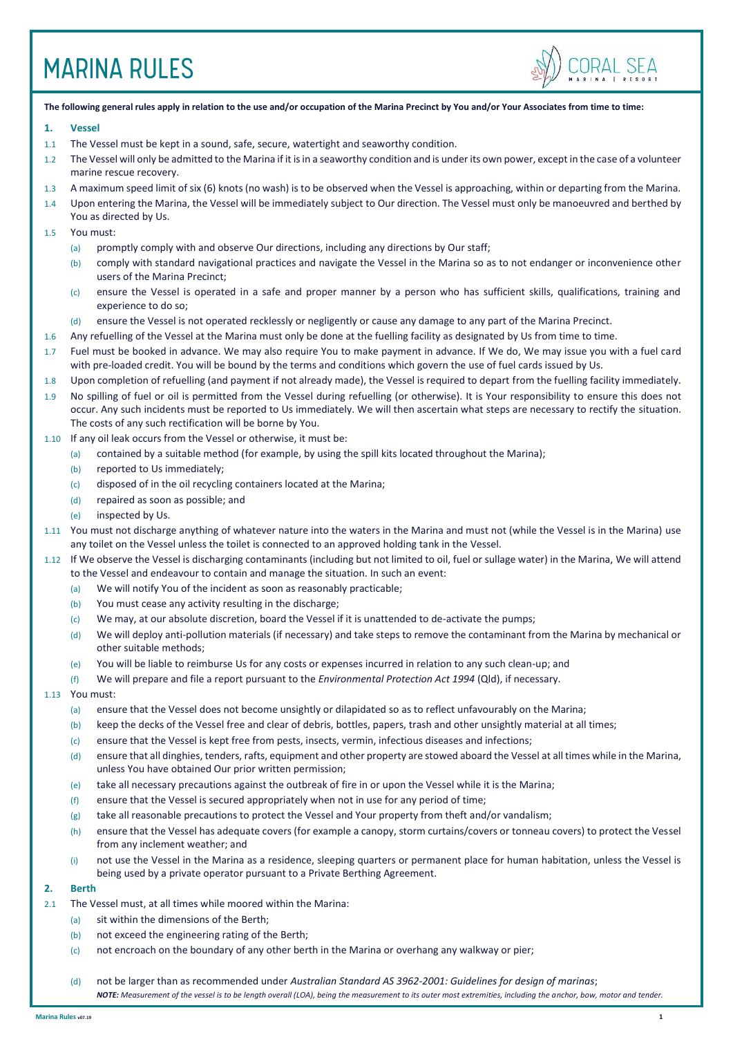# **MARINA RULES**



**The following general rules apply in relation to the use and/or occupation of the Marina Precinct by You and/or Your Associates from time to time:** Ξ

#### **1. Vessel**

- 1.1 The Vessel must be kept in a sound, safe, secure, watertight and seaworthy condition.
- 1.2 The Vessel will only be admitted to the Marina if it is in a seaworthy condition and is under its own power, except in the case of a volunteer marine rescue recovery.
- 1.3 A maximum speed limit of six (6) knots (no wash) is to be observed when the Vessel is approaching, within or departing from the Marina.
- 1.4 Upon entering the Marina, the Vessel will be immediately subject to Our direction. The Vessel must only be manoeuvred and berthed by You as directed by Us.
- 1.5 You must:
	- (a) promptly comply with and observe Our directions, including any directions by Our staff;
	- (b) comply with standard navigational practices and navigate the Vessel in the Marina so as to not endanger or inconvenience other users of the Marina Precinct;
	- (c) ensure the Vessel is operated in a safe and proper manner by a person who has sufficient skills, qualifications, training and experience to do so;
	- (d) ensure the Vessel is not operated recklessly or negligently or cause any damage to any part of the Marina Precinct.
- 1.6 Any refuelling of the Vessel at the Marina must only be done at the fuelling facility as designated by Us from time to time.
- 1.7 Fuel must be booked in advance. We may also require You to make payment in advance. If We do, We may issue you with a fuel card with pre-loaded credit. You will be bound by the terms and conditions which govern the use of fuel cards issued by Us.
- 1.8 Upon completion of refuelling (and payment if not already made), the Vessel is required to depart from the fuelling facility immediately.
- 1.9 No spilling of fuel or oil is permitted from the Vessel during refuelling (or otherwise). It is Your responsibility to ensure this does not occur. Any such incidents must be reported to Us immediately. We will then ascertain what steps are necessary to rectify the situation. The costs of any such rectification will be borne by You.
- 1.10 If any oil leak occurs from the Vessel or otherwise, it must be:
	- (a) contained by a suitable method (for example, by using the spill kits located throughout the Marina);
	- (b) reported to Us immediately;
	- (c) disposed of in the oil recycling containers located at the Marina;
	- (d) repaired as soon as possible; and
	- (e) inspected by Us.
- 1.11 You must not discharge anything of whatever nature into the waters in the Marina and must not (while the Vessel is in the Marina) use any toilet on the Vessel unless the toilet is connected to an approved holding tank in the Vessel.
- 1.12 If We observe the Vessel is discharging contaminants (including but not limited to oil, fuel or sullage water) in the Marina, We will attend to the Vessel and endeavour to contain and manage the situation. In such an event:
	- (a) We will notify You of the incident as soon as reasonably practicable;
	- (b) You must cease any activity resulting in the discharge;
	- (c) We may, at our absolute discretion, board the Vessel if it is unattended to de-activate the pumps;
	- (d) We will deploy anti-pollution materials (if necessary) and take steps to remove the contaminant from the Marina by mechanical or other suitable methods;
	- (e) You will be liable to reimburse Us for any costs or expenses incurred in relation to any such clean-up; and
	- (f) We will prepare and file a report pursuant to the *Environmental Protection Act 1994* (Qld), if necessary.
- 1.13 You must:
	- (a) ensure that the Vessel does not become unsightly or dilapidated so as to reflect unfavourably on the Marina;
	- (b) keep the decks of the Vessel free and clear of debris, bottles, papers, trash and other unsightly material at all times;
	- (c) ensure that the Vessel is kept free from pests, insects, vermin, infectious diseases and infections;
	- (d) ensure that all dinghies, tenders, rafts, equipment and other property are stowed aboard the Vessel at all times while in the Marina, unless You have obtained Our prior written permission;
	- (e) take all necessary precautions against the outbreak of fire in or upon the Vessel while it is the Marina;
	- (f) ensure that the Vessel is secured appropriately when not in use for any period of time;
	- (g) take all reasonable precautions to protect the Vessel and Your property from theft and/or vandalism;
	- (h) ensure that the Vessel has adequate covers (for example a canopy, storm curtains/covers or tonneau covers) to protect the Vessel from any inclement weather; and
	- (i) not use the Vessel in the Marina as a residence, sleeping quarters or permanent place for human habitation, unless the Vessel is being used by a private operator pursuant to a Private Berthing Agreement.

#### **2. Berth**

- 2.1 The Vessel must, at all times while moored within the Marina:
	- (a) sit within the dimensions of the Berth;
	- (b) not exceed the engineering rating of the Berth;
	- (c) not encroach on the boundary of any other berth in the Marina or overhang any walkway or pier;
	- (d) not be larger than as recommended under *Australian Standard AS 3962-2001: Guidelines for design of marinas*; *NOTE: Measurement of the vessel is to be length overall (LOA), being the measurement to its outer most extremities, including the anchor, bow, motor and tender.*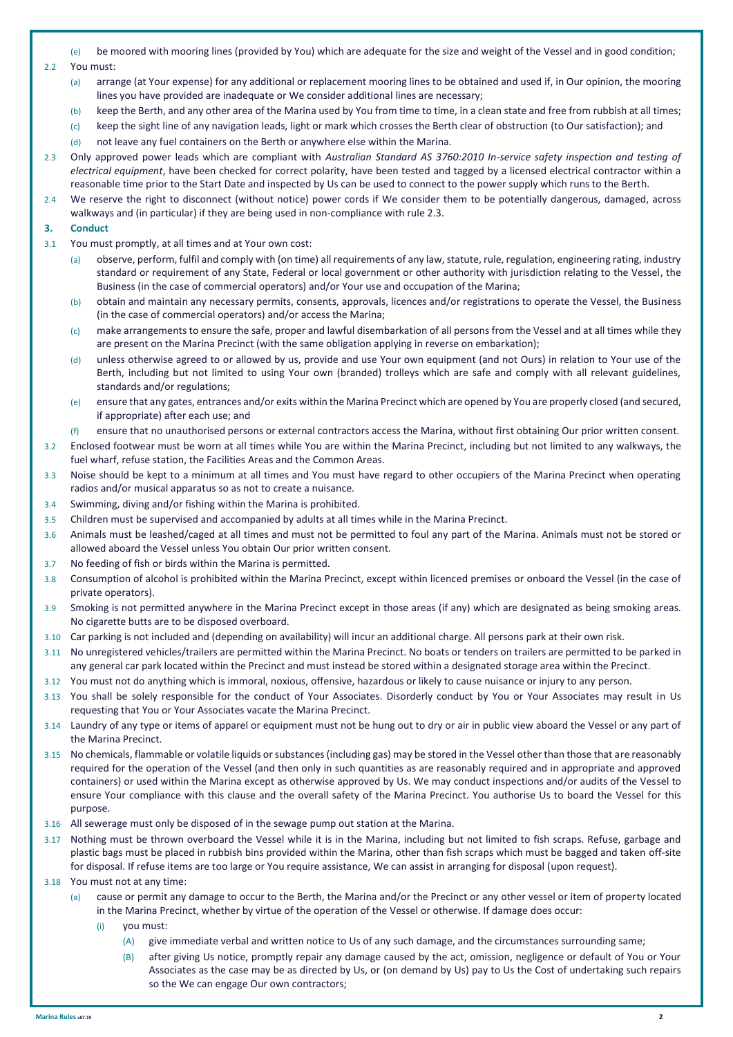- (e) be moored with mooring lines (provided by You) which are adequate for the size and weight of the Vessel and in good condition;
- 2.2 You must:
	- (a) arrange (at Your expense) for any additional or replacement mooring lines to be obtained and used if, in Our opinion, the mooring lines you have provided are inadequate or We consider additional lines are necessary;
	- (b) keep the Berth, and any other area of the Marina used by You from time to time, in a clean state and free from rubbish at all times;
	- (c) keep the sight line of any navigation leads, light or mark which crosses the Berth clear of obstruction (to Our satisfaction); and
	- (d) not leave any fuel containers on the Berth or anywhere else within the Marina.
- 2.3 Only approved power leads which are compliant with *Australian Standard AS 3760:2010 In-service safety inspection and testing of electrical equipment*, have been checked for correct polarity, have been tested and tagged by a licensed electrical contractor within a reasonable time prior to the Start Date and inspected by Us can be used to connect to the power supply which runs to the Berth.
- 2.4 We reserve the right to disconnect (without notice) power cords if We consider them to be potentially dangerous, damaged, across walkways and (in particular) if they are being used in non-compliance with rule 2.3.

#### **3. Conduct**

- 3.1 You must promptly, at all times and at Your own cost:
	- (a) observe, perform, fulfil and comply with (on time) all requirements of any law, statute, rule, regulation, engineering rating, industry standard or requirement of any State, Federal or local government or other authority with jurisdiction relating to the Vessel, the Business (in the case of commercial operators) and/or Your use and occupation of the Marina;
	- (b) obtain and maintain any necessary permits, consents, approvals, licences and/or registrations to operate the Vessel, the Business (in the case of commercial operators) and/or access the Marina;
	- (c) make arrangements to ensure the safe, proper and lawful disembarkation of all persons from the Vessel and at all times while they are present on the Marina Precinct (with the same obligation applying in reverse on embarkation);
	- (d) unless otherwise agreed to or allowed by us, provide and use Your own equipment (and not Ours) in relation to Your use of the Berth, including but not limited to using Your own (branded) trolleys which are safe and comply with all relevant guidelines, standards and/or regulations;
	- (e) ensure that any gates, entrances and/or exits within the Marina Precinct which are opened by You are properly closed (and secured, if appropriate) after each use; and
	- (f) ensure that no unauthorised persons or external contractors access the Marina, without first obtaining Our prior written consent.
- 3.2 Enclosed footwear must be worn at all times while You are within the Marina Precinct, including but not limited to any walkways, the fuel wharf, refuse station, the Facilities Areas and the Common Areas.
- 3.3 Noise should be kept to a minimum at all times and You must have regard to other occupiers of the Marina Precinct when operating radios and/or musical apparatus so as not to create a nuisance.
- 3.4 Swimming, diving and/or fishing within the Marina is prohibited.
- 3.5 Children must be supervised and accompanied by adults at all times while in the Marina Precinct.
- 3.6 Animals must be leashed/caged at all times and must not be permitted to foul any part of the Marina. Animals must not be stored or allowed aboard the Vessel unless You obtain Our prior written consent.
- 3.7 No feeding of fish or birds within the Marina is permitted.
- 3.8 Consumption of alcohol is prohibited within the Marina Precinct, except within licenced premises or onboard the Vessel (in the case of private operators).
- 3.9 Smoking is not permitted anywhere in the Marina Precinct except in those areas (if any) which are designated as being smoking areas. No cigarette butts are to be disposed overboard.
- 3.10 Car parking is not included and (depending on availability) will incur an additional charge. All persons park at their own risk.
- 3.11 No unregistered vehicles/trailers are permitted within the Marina Precinct. No boats or tenders on trailers are permitted to be parked in any general car park located within the Precinct and must instead be stored within a designated storage area within the Precinct.
- 3.12 You must not do anything which is immoral, noxious, offensive, hazardous or likely to cause nuisance or injury to any person.
- 3.13 You shall be solely responsible for the conduct of Your Associates. Disorderly conduct by You or Your Associates may result in Us requesting that You or Your Associates vacate the Marina Precinct.
- 3.14 Laundry of any type or items of apparel or equipment must not be hung out to dry or air in public view aboard the Vessel or any part of the Marina Precinct.
- 3.15 No chemicals, flammable or volatile liquids or substances (including gas) may be stored in the Vessel other than those that are reasonably required for the operation of the Vessel (and then only in such quantities as are reasonably required and in appropriate and approved containers) or used within the Marina except as otherwise approved by Us. We may conduct inspections and/or audits of the Vessel to ensure Your compliance with this clause and the overall safety of the Marina Precinct. You authorise Us to board the Vessel for this purpose.
- 3.16 All sewerage must only be disposed of in the sewage pump out station at the Marina.
- 3.17 Nothing must be thrown overboard the Vessel while it is in the Marina, including but not limited to fish scraps. Refuse, garbage and plastic bags must be placed in rubbish bins provided within the Marina, other than fish scraps which must be bagged and taken off-site for disposal. If refuse items are too large or You require assistance, We can assist in arranging for disposal (upon request).
- 3.18 You must not at any time:
	- (a) cause or permit any damage to occur to the Berth, the Marina and/or the Precinct or any other vessel or item of property located in the Marina Precinct, whether by virtue of the operation of the Vessel or otherwise. If damage does occur:
		- (i) you must:
			- (A) give immediate verbal and written notice to Us of any such damage, and the circumstances surrounding same;
			- (B) after giving Us notice, promptly repair any damage caused by the act, omission, negligence or default of You or Your Associates as the case may be as directed by Us, or (on demand by Us) pay to Us the Cost of undertaking such repairs so the We can engage Our own contractors;